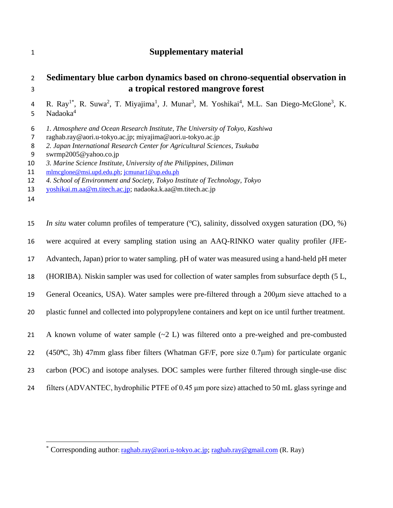## **Supplementary material**

## **Sedimentary blue carbon dynamics based on chrono-sequential observation in a tropical restored mangrove forest**

- *1. Atmosphere and Ocean Research Institute, The University of Tokyo, Kashiwa*
- raghab.ray@aori.u-tokyo.ac.jp; miyajima@aori.u-tokyo.ac.jp
- *2. Japan International Research Center for Agricultural Sciences, Tsukuba*
- swrmp2005@yahoo.co.jp
- *3. Marine Science Institute, University of the Philippines, Diliman*
- [mlmcglone@msi.upd.edu.ph;](mailto:mlmcglone@msi.upd.edu.ph) [jcmunar1@up.edu.ph](mailto:jcmunar1@up.edu.ph)
- *4. School of Environment and Society, Tokyo Institute of Technology, Tokyo*
- [yoshikai.m.aa@m.titech.ac.jp;](mailto:yoshikai.m.aa@m.titech.ac.jp) nadaoka.k.aa@m.titech.ac.jp
- 

*In situ* water column profiles of temperature (°C), salinity, dissolved oxygen saturation (DO, %)

- were acquired at every sampling station using an AAQ-RINKO water quality profiler (JFE-
- Advantech, Japan) prior to water sampling. pH of water was measured using a hand-held pH meter
- (HORIBA). Niskin sampler was used for collection of water samples from subsurface depth (5 L,
- General Oceanics, USA). Water samples were pre-filtered through a 200μm sieve attached to a
- plastic funnel and collected into polypropylene containers and kept on ice until further treatment.
- 21 A known volume of water sample  $(\sim 2 \text{ L})$  was filtered onto a pre-weighed and pre-combusted
- (450 **<sup>o</sup>**C, 3h) 47mm glass fiber filters (Whatman GF/F, pore size 0.7μm) for particulate organic
- carbon (POC) and isotope analyses. DOC samples were further filtered through single-use disc
- filters (ADVANTEC, hydrophilic PTFE of 0.45 μm pore size) attached to 50 mL glass syringe and

<sup>4</sup> R. Ray<sup>1\*</sup>, R. Suwa<sup>2</sup>, T. Miyajima<sup>1</sup>, J. Munar<sup>3</sup>, M. Yoshikai<sup>4</sup>, M.L. San Diego-McGlone<sup>3</sup>, K. Nadaoka<sup>4</sup> 

<sup>\*</sup> Corresponding author: [raghab.ray@aori.u-tokyo.ac.jp;](mailto:raghab.ray@aori.u-tokyo.ac.jp) [raghab.ray@gmail.com](mailto:raghab.ray@gmail.com) (R. Ray)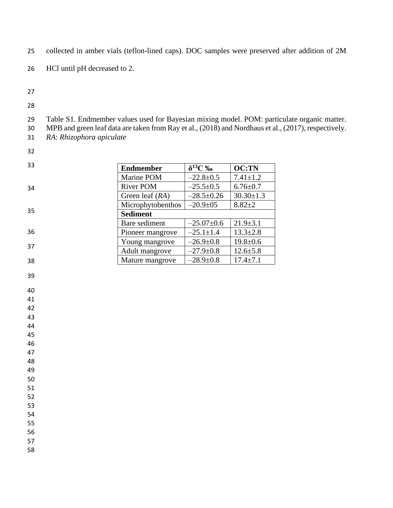- collected in amber vials (teflon-lined caps). DOC samples were preserved after addition of 2M
- HCl until pH decreased to 2.
- 
- 
- Table S1. Endmember values used for Bayesian mixing model. POM: particulate organic matter.
- MPB and green leaf data are taken from Ray et al., (2018) and Nordhaus et al., (2017), respectively.
- *RA*: *Rhizophora apiculate*
- 
- 

| $-22.8 \pm 0.5$<br>$-25.5+0.5$<br>$-28.5+0.26$<br>$-20.9+05$<br>$-25.07+0.6$ | $7.41 \pm 1.2$<br>$6.76 \pm 0.7$<br>$30.30 \pm 1.3$<br>$8.82 \pm 2$<br>$21.9 \pm 3.1$ |
|------------------------------------------------------------------------------|---------------------------------------------------------------------------------------|
|                                                                              |                                                                                       |
|                                                                              |                                                                                       |
|                                                                              |                                                                                       |
|                                                                              |                                                                                       |
|                                                                              |                                                                                       |
|                                                                              |                                                                                       |
| $-25.1 \pm 1.4$                                                              | $13.3 \pm 2.8$                                                                        |
| $-26.9+0.8$                                                                  | $19.8 \pm 0.6$                                                                        |
| $-27.9 \pm 0.8$                                                              | $12.6 \pm 5.8$                                                                        |
| $-28.9+0.8$                                                                  | $17.4 \pm 7.1$                                                                        |
|                                                                              |                                                                                       |

- 
- 
-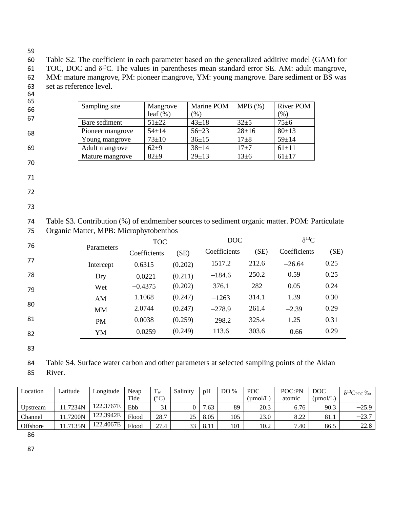59

60 Table S2. The coefficient in each parameter based on the generalized additive model (GAM) for 61 TOC, DOC and  $\delta^{13}$ C. The values in parentheses mean standard error SE. AM: adult mangrove, 62 MM: mature mangrove, PM: pioneer mangrove, YM: young mangrove. Bare sediment or BS was 63 set as reference level.

Bare sediment  $51\pm22$   $43\pm18$   $32\pm5$   $75\pm6$ Pioneer mangrove  $\begin{array}{|l|l|} 54 \pm 14 & 56 \pm 23 & 28 \pm 16 & 80 \pm 13 \end{array}$ Young mangrove  $\begin{array}{|l|l|}\n73 \pm 10 \\
17 \pm 8\n\end{array}$  17 $\pm 8$  159 $\pm 14$ Adult mangrove  $\begin{array}{|l|l|} \hline 62 \pm 9 & 38 \pm 14 & 17 \pm 7 & 61 \pm 11 \end{array}$ Mature mangrove  $82\pm9$   $29\pm13$   $13\pm6$   $61\pm17$ 

Marine POM

MPB (%) River POM

(%)

(%)

Sampling site Mangrove

 $leaf$   $%$ 

| ۰<br>. .<br>٦<br>I<br>×<br>×<br>۰, |  |
|------------------------------------|--|
|                                    |  |

- 65 66
- 67
- 68
- 69
- 70
- 71
- 72
- 73

74 Table S3. Contribution (%) of endmember sources to sediment organic matter. POM: Particulate 75 Organic Matter, MPB: Microphytobenthos

| 76 |            | <b>TOC</b>   |         | DOC          |       | $\delta^{13}C$ |      |
|----|------------|--------------|---------|--------------|-------|----------------|------|
|    | Parameters | Coefficients | (SE)    | Coefficients | (SE)  | Coefficients   | (SE) |
| 77 | Intercept  | 0.6315       | (0.202) | 1517.2       | 212.6 | $-26.64$       | 0.25 |
| 78 | Dry        | $-0.0221$    | (0.211) | $-184.6$     | 250.2 | 0.59           | 0.25 |
| 79 | Wet        | $-0.4375$    | (0.202) | 376.1        | 282   | 0.05           | 0.24 |
|    | AM         | 1.1068       | (0.247) | $-1263$      | 314.1 | 1.39           | 0.30 |
| 80 | <b>MM</b>  | 2.0744       | (0.247) | $-278.9$     | 261.4 | $-2.39$        | 0.29 |
| 81 | <b>PM</b>  | 0.0038       | (0.259) | $-298.2$     | 325.4 | 1.25           | 0.31 |
| 82 | YM         | $-0.0259$    | (0.249) | 113.6        | 303.6 | $-0.66$        | 0.29 |

83

84 Table S4. Surface water carbon and other parameters at selected sampling points of the Aklan 85 River.

| Location | Latitude | Longitude | Neap  | m<br>1 w      | Salinity | pH   | DO $%$ | POC      | POC:PN | <b>DOC</b>           | $\delta^{13}C_{\rm POC}$ % |
|----------|----------|-----------|-------|---------------|----------|------|--------|----------|--------|----------------------|----------------------------|
|          |          |           | Tide  | $(^\circ C)$  |          |      |        | (umol/L) | atomic | $(\mu \text{mol/L})$ |                            |
| Upstream | .7234N   | 122.3767E | Ebb   | $\sim$ 1<br>◡ |          | 7.63 | 89     | 20.3     | 6.76   | 90.3                 | $-25.9$                    |
| Channel  | .7200N   | 122.3942E | Flood | 28.7          |          | 8.05 | 105    | 23.0     | 8.22   | 81.1                 | $-23.7$                    |
| Offshore | 7135N    | 122.4067E | Flood | 27.4          | 33       | 8.11 | 101    | 10.2     | 7.40   | 86.5                 | $-22.8$                    |

86

87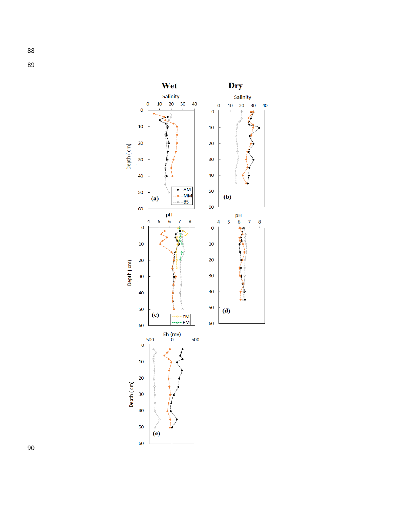